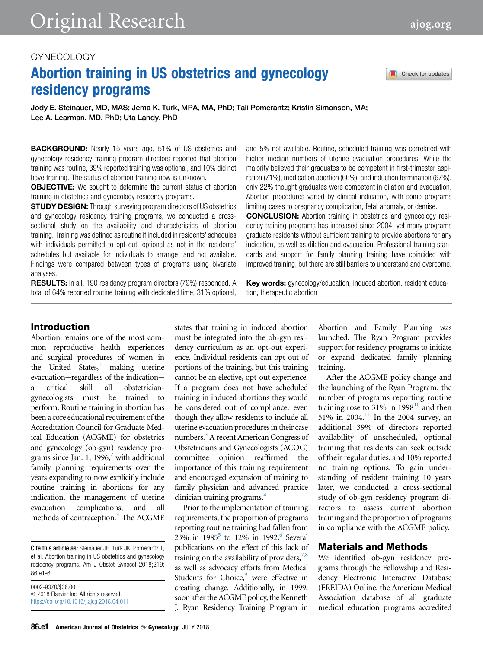# GYNECOLOGY

# Abortion training in US obstetrics and gynecology residency programs

Jody E. Steinauer, MD, MAS; Jema K. Turk, MPA, MA, PhD; Tali Pomerantz; Kristin Simonson, MA; Lee A. Learman, MD, PhD; Uta Landy, PhD

**BACKGROUND:** Nearly 15 years ago, 51% of US obstetrics and gynecology residency training program directors reported that abortion training was routine, 39% reported training was optional, and 10% did not have training. The status of abortion training now is unknown.

**OBJECTIVE:** We sought to determine the current status of abortion training in obstetrics and gynecology residency programs.

**STUDY DESIGN:** Through surveying program directors of US obstetrics and gynecology residency training programs, we conducted a crosssectional study on the availability and characteristics of abortion training. Training was defined as routine if included in residents' schedules with individuals permitted to opt out, optional as not in the residents' schedules but available for individuals to arrange, and not available. Findings were compared between types of programs using bivariate analyses.

RESULTS: In all, 190 residency program directors (79%) responded. A total of 64% reported routine training with dedicated time, 31% optional, and 5% not available. Routine, scheduled training was correlated with higher median numbers of uterine evacuation procedures. While the majority believed their graduates to be competent in first-trimester aspiration (71%), medication abortion (66%), and induction termination (67%), only 22% thought graduates were competent in dilation and evacuation. Abortion procedures varied by clinical indication, with some programs limiting cases to pregnancy complication, fetal anomaly, or demise.

CONCLUSION: Abortion training in obstetrics and gynecology residency training programs has increased since 2004, yet many programs graduate residents without sufficient training to provide abortions for any indication, as well as dilation and evacuation. Professional training standards and support for family planning training have coincided with improved training, but there are still barriers to understand and overcome.

Key words: gynecology/education, induced abortion, resident education, therapeutic abortion

# Introduction

Abortion remains one of the most common reproductive health experiences and surgical procedures of women in the United States, $\frac{1}{1}$  $\frac{1}{1}$  $\frac{1}{1}$  making uterine  $evacuation$  -regardless of the indicationa critical skill all obstetriciangynecologists must be trained to perform. Routine training in abortion has been a core educational requirement of the Accreditation Council for Graduate Medical Education (ACGME) for obstetrics and gynecology (ob-gyn) residency programs since Jan. 1, 1996, $\frac{2}{3}$  $\frac{2}{3}$  $\frac{2}{3}$  with additional family planning requirements over the years expanding to now explicitly include routine training in abortions for any indication, the management of uterine evacuation complications, and all methods of contraception.<sup>[3](#page-5-0)</sup> The ACGME

Cite this article as: Steinauer JE, Turk JK, Pomerantz T, et al. Abortion training in US obstetrics and gynecology residency programs. Am J Obstet Gynecol 2018;219: 86.e1-6.

0002-9378/\$36.00  $©$  2018 Elsevier Inc. All rights reserved. <https://doi.org/10.1016/j.ajog.2018.04.011> states that training in induced abortion must be integrated into the ob-gyn residency curriculum as an opt-out experience. Individual residents can opt out of portions of the training, but this training cannot be an elective, opt-out experience. If a program does not have scheduled training in induced abortions they would be considered out of compliance, even though they allow residents to include all uterine evacuation procedures in their case numbers.<sup>[3](#page-5-0)</sup> A recent American Congress of Obstetricians and Gynecologists (ACOG) committee opinion reaffirmed the importance of this training requirement and encouraged expansion of training to family physician and advanced practice clinician training programs.<sup>4</sup>

Prior to the implementation of training requirements, the proportion of programs reporting routine training had fallen from 23% in  $1985^5$  to 12% in 1992.<sup>6</sup> Several publications on the effect of this lack of training on the availability of providers,  $7.8$ as well as advocacy efforts from Medical Students for Choice,<sup>[9](#page-5-0)</sup> were effective in creating change. Additionally, in 1999, soon after the ACGME policy, the Kenneth J. Ryan Residency Training Program in

Abortion and Family Planning was launched. The Ryan Program provides support for residency programs to initiate or expand dedicated family planning training.

After the ACGME policy change and the launching of the Ryan Program, the number of programs reporting routine training rose to  $31\%$  in  $1998^{10}$  $1998^{10}$  $1998^{10}$  and then 51% in 2004.<sup>[11](#page-5-0)</sup> In the 2004 survey, an additional 39% of directors reported availability of unscheduled, optional training that residents can seek outside of their regular duties, and 10% reported no training options. To gain understanding of resident training 10 years later, we conducted a cross-sectional study of ob-gyn residency program directors to assess current abortion training and the proportion of programs in compliance with the ACGME policy.

## Materials and Methods

We identified ob-gyn residency programs through the Fellowship and Residency Electronic Interactive Database (FREIDA) Online, the American Medical Association database of all graduate medical education programs accredited

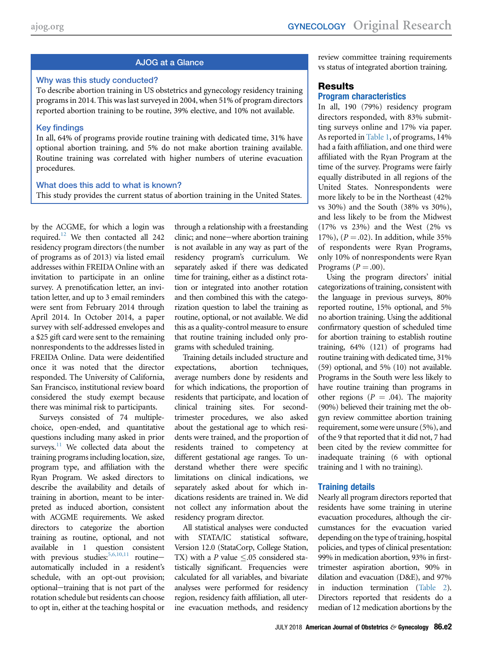# AJOG at a Glance

## Why was this study conducted?

To describe abortion training in US obstetrics and gynecology residency training programs in 2014. This was last surveyed in 2004, when 51% of program directors reported abortion training to be routine, 39% elective, and 10% not available.

## Key findings

In all, 64% of programs provide routine training with dedicated time, 31% have optional abortion training, and 5% do not make abortion training available. Routine training was correlated with higher numbers of uterine evacuation procedures.

#### What does this add to what is known?

This study provides the current status of abortion training in the United States.

by the ACGME, for which a login was required.<sup>12</sup> We then contacted all 242 residency program directors (the number of programs as of 2013) via listed email addresses within FREIDA Online with an invitation to participate in an online survey. A prenotification letter, an invitation letter, and up to 3 email reminders were sent from February 2014 through April 2014. In October 2014, a paper survey with self-addressed envelopes and a \$25 gift card were sent to the remaining nonrespondents to the addresses listed in FREIDA Online. Data were deidentified once it was noted that the director responded. The University of California, San Francisco, institutional review board considered the study exempt because there was minimal risk to participants.

Surveys consisted of 74 multiplechoice, open-ended, and quantitative questions including many asked in prior surveys. $11$  We collected data about the training programs including location, size, program type, and affiliation with the Ryan Program. We asked directors to describe the availability and details of training in abortion, meant to be interpreted as induced abortion, consistent with ACGME requirements. We asked directors to categorize the abortion training as routine, optional, and not available in 1 question consistent with previous studies:  $5,6,10,11$  routineautomatically included in a resident's schedule, with an opt-out provision; optional-training that is not part of the rotation schedule but residents can choose to opt in, either at the teaching hospital or through a relationship with a freestanding clinic; and none-where abortion training is not available in any way as part of the residency program's curriculum. We separately asked if there was dedicated time for training, either as a distinct rotation or integrated into another rotation and then combined this with the categorization question to label the training as routine, optional, or not available. We did this as a quality-control measure to ensure that routine training included only programs with scheduled training.

Training details included structure and expectations, abortion techniques, average numbers done by residents and for which indications, the proportion of residents that participate, and location of clinical training sites. For secondtrimester procedures, we also asked about the gestational age to which residents were trained, and the proportion of residents trained to competency at different gestational age ranges. To understand whether there were specific limitations on clinical indications, we separately asked about for which indications residents are trained in. We did not collect any information about the residency program director.

All statistical analyses were conducted with STATA/IC statistical software, Version 12.0 (StataCorp, College Station, TX) with a P value  $\leq$ .05 considered statistically significant. Frequencies were calculated for all variables, and bivariate analyses were performed for residency region, residency faith affiliation, all uterine evacuation methods, and residency review committee training requirements vs status of integrated abortion training.

# **Results** Program characteristics

In all, 190 (79%) residency program directors responded, with 83% submitting surveys online and 17% via paper. As reported in [Table 1,](#page-2-0) of programs, 14% had a faith affiliation, and one third were affiliated with the Ryan Program at the time of the survey. Programs were fairly equally distributed in all regions of the United States. Nonrespondents were more likely to be in the Northeast (42% vs 30%) and the South (38% vs 30%), and less likely to be from the Midwest (17% vs 23%) and the West (2% vs 17%),  $(P = .02)$ . In addition, while 35% of respondents were Ryan Programs, only 10% of nonrespondents were Ryan Programs ( $P = .00$ ).

Using the program directors' initial categorizations of training, consistent with the language in previous surveys, 80% reported routine, 15% optional, and 5% no abortion training. Using the additional confirmatory question of scheduled time for abortion training to establish routine training, 64% (121) of programs had routine training with dedicated time, 31% (59) optional, and 5% (10) not available. Programs in the South were less likely to have routine training than programs in other regions ( $P = .04$ ). The majority (90%) believed their training met the obgyn review committee abortion training requirement, some were unsure (5%), and of the 9 that reported that it did not, 7 had been cited by the review committee for inadequate training (6 with optional training and 1 with no training).

# Training details

Nearly all program directors reported that residents have some training in uterine evacuation procedures, although the circumstances for the evacuation varied depending on the type of training, hospital policies, and types of clinical presentation: 99% in medication abortion, 93% in firsttrimester aspiration abortion, 90% in dilation and evacuation (D&E), and 97% in induction termination [\(Table 2](#page-3-0)). Directors reported that residents do a median of 12 medication abortions by the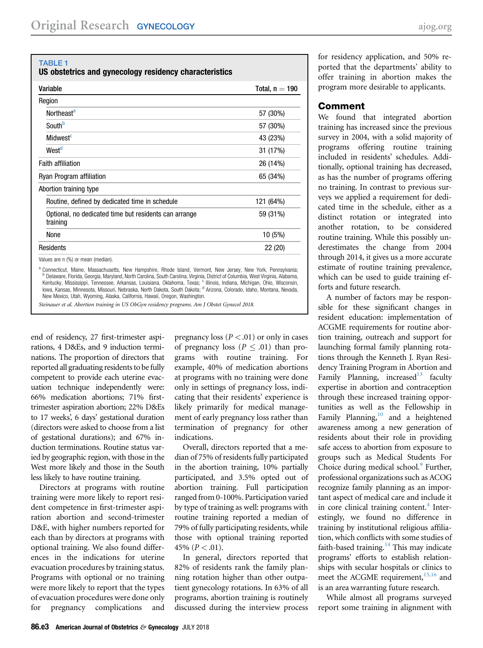#### <span id="page-2-0"></span>TABLE 1

US obstetrics and gynecology residency characteristics

| Variable                                                          | Total, $n = 190$ |  |  |
|-------------------------------------------------------------------|------------------|--|--|
| Region                                                            |                  |  |  |
| Northeast <sup>a</sup>                                            | 57 (30%)         |  |  |
| Southb                                                            | 57 (30%)         |  |  |
| Midwest <sup>c</sup>                                              | 43 (23%)         |  |  |
| West <sup>d</sup>                                                 | 31 (17%)         |  |  |
| <b>Faith affiliation</b>                                          | 26 (14%)         |  |  |
| Ryan Program affiliation                                          | 65 (34%)         |  |  |
| Abortion training type                                            |                  |  |  |
| Routine, defined by dedicated time in schedule                    | 121 (64%)        |  |  |
| Optional, no dedicated time but residents can arrange<br>training | 59 (31%)         |  |  |
| None                                                              | 10 (5%)          |  |  |
| Residents                                                         | 22 (20)          |  |  |
| Values are n (%) or mean (median).                                |                  |  |  |

Connecticut, Maine, Massachusetts, New Hampshire, Rhode Island, Vermont, New Jersey, New York, Pennsylvania; <sup>b</sup> Delaware, Florida, Georgia, Maryland, North Carolina, South Carolina, Virginia, District of Columbia, West Virginia, Alabama, Kentucky, Mississippi, Tennessee, Arkansas, Louisiana, Oklahoma, Texas; <sup>ca</sup>lllinois, Indiana, Michigan, Ohio, Wisconsin,<br>Iowa, Kansas, Minnesota, Missouri, Nebraska, North Dakota, South Dakota; <sup>d</sup> Arizona, Colorado, Idah New Mexico, Utah, Wyoming, Alaska, California, Hawaii, Oregon, Washington.

Steinauer et al. Abortion training in US ObGyn residency programs. Am J Obstet Gynecol 2018.

end of residency, 27 first-trimester aspirations, 4 D&Es, and 9 induction terminations. The proportion of directors that reported all graduating residents to be fully competent to provide each uterine evacuation technique independently were: 66% medication abortions; 71% firsttrimester aspiration abortion; 22% D&Es to 17 weeks', 6 days' gestational duration (directors were asked to choose from a list of gestational durations); and 67% induction terminations. Routine status varied by geographic region, with those in the West more likely and those in the South less likely to have routine training.

Directors at programs with routine training were more likely to report resident competence in first-trimester aspiration abortion and second-trimester D&E, with higher numbers reported for each than by directors at programs with optional training. We also found differences in the indications for uterine evacuation procedures by training status. Programs with optional or no training were more likely to report that the types of evacuation procedures were done only for pregnancy complications and

pregnancy loss ( $P < .01$ ) or only in cases of pregnancy loss ( $P < .01$ ) than programs with routine training. For example, 40% of medication abortions at programs with no training were done only in settings of pregnancy loss, indicating that their residents' experience is likely primarily for medical management of early pregnancy loss rather than termination of pregnancy for other indications.

Overall, directors reported that a median of 75% of residents fully participated in the abortion training, 10% partially participated, and 3.5% opted out of abortion training. Full participation ranged from 0-100%. Participation varied by type of training as well: programs with routine training reported a median of 79% of fully participating residents, while those with optional training reported 45% ( $P < .01$ ).

In general, directors reported that 82% of residents rank the family planning rotation higher than other outpatient gynecology rotations. In 63% of all programs, abortion training is routinely discussed during the interview process

for residency application, and 50% reported that the departments' ability to offer training in abortion makes the program more desirable to applicants.

## Comment

We found that integrated abortion training has increased since the previous survey in 2004, with a solid majority of programs offering routine training included in residents' schedules. Additionally, optional training has decreased, as has the number of programs offering no training. In contrast to previous surveys we applied a requirement for dedicated time in the schedule, either as a distinct rotation or integrated into another rotation, to be considered routine training. While this possibly underestimates the change from 2004 through 2014, it gives us a more accurate estimate of routine training prevalence, which can be used to guide training efforts and future research.

A number of factors may be responsible for these significant changes in resident education: implementation of ACGME requirements for routine abortion training, outreach and support for launching formal family planning rotations through the Kenneth J. Ryan Residency Training Program in Abortion and Family Planning, increased $13$  faculty expertise in abortion and contraception through these increased training opportunities as well as the Fellowship in Family Planning,<sup>10</sup> and a heightened awareness among a new generation of residents about their role in providing safe access to abortion from exposure to groups such as Medical Students For Choice during medical school.<sup>[9](#page-5-0)</sup> Further, professional organizations such as ACOG recognize family planning as an important aspect of medical care and include it in core clinical training content. $4$  Interestingly, we found no difference in training by institutional religious affiliation, which conflicts with some studies of faith-based training.<sup>[14](#page-5-0)</sup> This may indicate programs' efforts to establish relationships with secular hospitals or clinics to meet the ACGME requirement,  $15,16$  and is an area warranting future research.

While almost all programs surveyed report some training in alignment with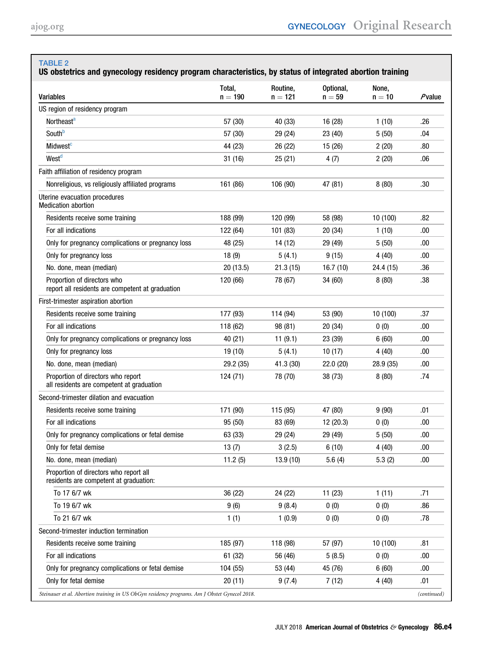# <span id="page-3-0"></span>TABLE 2

# US obstetrics and gynecology residency program characteristics, by status of integrated abortion training

| <b>Variables</b>                                                                             | Total,<br>$n = 190$ | Routine,<br>$n = 121$ | Optional,<br>$n = 59$ | None,<br>$n = 10$ | Pvalue      |
|----------------------------------------------------------------------------------------------|---------------------|-----------------------|-----------------------|-------------------|-------------|
| US region of residency program                                                               |                     |                       |                       |                   |             |
| Northeast <sup>a</sup>                                                                       | 57 (30)             | 40 (33)               | 16 (28)               | 1(10)             | .26         |
| Southb                                                                                       | 57 (30)             | 29 (24)               | 23(40)                | 5(50)             | .04         |
| Midwest <sup>c</sup>                                                                         | 44 (23)             | 26 (22)               | 15(26)                | 2(20)             | .80         |
| West <sup>d</sup>                                                                            | 31(16)              | 25(21)                | 4(7)                  | 2(20)             | .06         |
| Faith affiliation of residency program                                                       |                     |                       |                       |                   |             |
| Nonreligious, vs religiously affiliated programs                                             | 161 (86)            | 106 (90)              | 47 (81)               | 8(80)             | .30         |
| Uterine evacuation procedures<br><b>Medication abortion</b>                                  |                     |                       |                       |                   |             |
| Residents receive some training                                                              | 188 (99)            | 120 (99)              | 58 (98)               | 10 (100)          | .82         |
| For all indications                                                                          | 122 (64)            | 101 (83)              | 20 (34)               | 1(10)             | .00         |
| Only for pregnancy complications or pregnancy loss                                           | 48 (25)             | 14 (12)               | 29 (49)               | 5(50)             | .00         |
| Only for pregnancy loss                                                                      | 18(9)               | 5(4.1)                | 9(15)                 | 4(40)             | .00         |
| No. done, mean (median)                                                                      | 20(13.5)            | 21.3(15)              | 16.7(10)              | 24.4 (15)         | .36         |
| Proportion of directors who<br>report all residents are competent at graduation              | 120 (66)            | 78 (67)               | 34 (60)               | 8(80)             | .38         |
| First-trimester aspiration abortion                                                          |                     |                       |                       |                   |             |
| Residents receive some training                                                              | 177 (93)            | 114 (94)              | 53 (90)               | 10 (100)          | .37         |
| For all indications                                                                          | 118 (62)            | 98 (81)               | 20(34)                | 0(0)              | .00         |
| Only for pregnancy complications or pregnancy loss                                           | 40 (21)             | 11(9.1)               | 23 (39)               | 6(60)             | .00         |
| Only for pregnancy loss                                                                      | 19 (10)             | 5(4.1)                | 10(17)                | 4(40)             | .00         |
| No. done, mean (median)                                                                      | 29.2 (35)           | 41.3 (30)             | 22.0 (20)             | 28.9 (35)         | .00.        |
| Proportion of directors who report<br>all residents are competent at graduation              | 124 (71)            | 78 (70)               | 38 (73)               | 8(80)             | .74         |
| Second-trimester dilation and evacuation                                                     |                     |                       |                       |                   |             |
| Residents receive some training                                                              | 171 (90)            | 115 (95)              | 47 (80)               | 9(90)             | .01         |
| For all indications                                                                          | 95 (50)             | 83 (69)               | 12(20.3)              | 0(0)              | .00         |
| Only for pregnancy complications or fetal demise                                             | 63 (33)             | 29 (24)               | 29 (49)               | 5(50)             | .00         |
| Only for fetal demise                                                                        | 13(7)               | 3(2.5)                | 6(10)                 | 4(40)             | .00         |
| No. done, mean (median)                                                                      | 11.2(5)             | 13.9(10)              | 5.6(4)                | 5.3(2)            | .00         |
| Proportion of directors who report all<br>residents are competent at graduation:             |                     |                       |                       |                   |             |
| To 17 6/7 wk                                                                                 | 36 (22)             | 24 (22)               | 11(23)                | 1(11)             | .71         |
| To 19 6/7 wk                                                                                 | 9(6)                | 9(8.4)                | 0(0)                  | 0(0)              | .86         |
| To 21 6/7 wk                                                                                 | 1(1)                | 1(0.9)                | 0(0)                  | 0(0)              | .78         |
| Second-trimester induction termination                                                       |                     |                       |                       |                   |             |
| Residents receive some training                                                              | 185 (97)            | 118 (98)              | 57 (97)               | 10 (100)          | .81         |
| For all indications                                                                          | 61 (32)             | 56 (46)               | 5(8.5)                | 0(0)              | .00         |
| Only for pregnancy complications or fetal demise                                             | 104 (55)            | 53 (44)               | 45 (76)               | 6(60)             | .00         |
| Only for fetal demise                                                                        | 20(11)              | 9(7.4)                | 7(12)                 | 4(40)             | .01         |
| Steinauer et al. Abortion training in US ObGyn residency programs. Am J Obstet Gynecol 2018. |                     |                       |                       |                   | (continued) |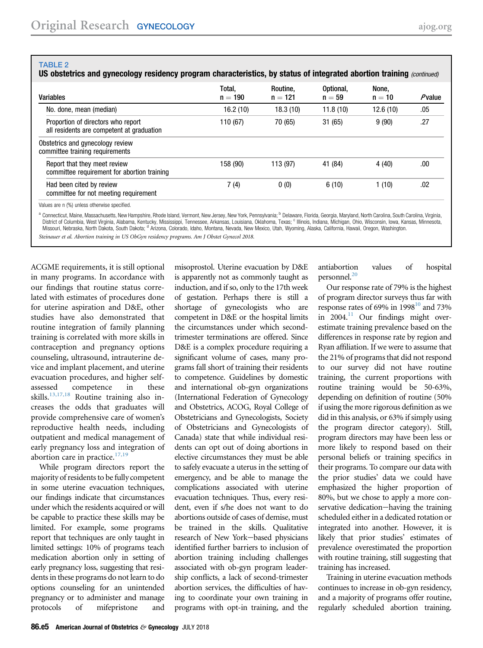## <span id="page-4-0"></span>TABLE 2

US obstetrics and gynecology residency program characteristics, by status of integrated abortion training (continued)

| Variables                                                                       | Total,<br>$n = 190$ | Routine.<br>$n = 121$ | Optional,<br>$n = 59$ | None,<br>$n = 10$ | $P$ value |
|---------------------------------------------------------------------------------|---------------------|-----------------------|-----------------------|-------------------|-----------|
| No. done, mean (median)                                                         | 16.2(10)            | 18.3(10)              | 11.8(10)              | 12.6(10)          | .05       |
| Proportion of directors who report<br>all residents are competent at graduation | 110 (67)            | 70 (65)               | 31(65)                | 9(90)             | .27       |
| Obstetrics and gynecology review<br>committee training requirements             |                     |                       |                       |                   |           |
| Report that they meet review<br>committee requirement for abortion training     | 158 (90)            | 113 (97)              | 41 (84)               | 4(40)             | .00       |
| Had been cited by review<br>committee for not meeting requirement               | 7(4)                | 0(0)                  | 6(10)                 | 1(10)             | .02       |

Values are n (%) unless otherwise specified.

<sup>a</sup> Connecticut, Maine, Massachusetts, New Hampshire, Rhode Island, Vermont, New Jersey, New York, Pennsylvania; <sup>b</sup> Delaware, Florida, Georgia, Maryland, North Carolina, South Carolina, Virginia, District of Columbia, West Virginia, Alabama, Kentucky, Mississippi, Tennessee, Arkansas, Louisiana, Oklahoma, Texas; <sup>c Illinois, Indiana, Michigan, Ohio, Wisconsin, Iowa, Kansas, Minnesota,</sup> Missouri, Nebraska, North Dakota, South Dakota; <sup>d</sup> Arizona, Colorado, Idaho, Montana, Nevada, New Mexico, Utah, Wyoming, Alaska, California, Hawaii, Oregon, Washington. Steinauer et al. Abortion training in US ObGyn residency programs. Am J Obstet Gynecol 2018.

ACGME requirements, it is still optional in many programs. In accordance with our findings that routine status correlated with estimates of procedures done for uterine aspiration and D&E, other studies have also demonstrated that routine integration of family planning training is correlated with more skills in contraception and pregnancy options counseling, ultrasound, intrauterine device and implant placement, and uterine evacuation procedures, and higher selfassessed competence in these skills.<sup>[13,17,18](#page-5-0)</sup> Routine training also increases the odds that graduates will provide comprehensive care of women's reproductive health needs, including outpatient and medical management of early pregnancy loss and integration of abortion care in practice. $17,19$ 

While program directors report the majority of residents to be fully competent in some uterine evacuation techniques, our findings indicate that circumstances under which the residents acquired or will be capable to practice these skills may be limited. For example, some programs report that techniques are only taught in limited settings: 10% of programs teach medication abortion only in setting of early pregnancy loss, suggesting that residents in these programs do not learn to do options counseling for an unintended pregnancy or to administer and manage protocols of mifepristone and

misoprostol. Uterine evacuation by D&E is apparently not as commonly taught as induction, and if so, only to the 17th week of gestation. Perhaps there is still a shortage of gynecologists who are competent in D&E or the hospital limits the circumstances under which secondtrimester terminations are offered. Since D&E is a complex procedure requiring a significant volume of cases, many programs fall short of training their residents to competence. Guidelines by domestic and international ob-gyn organizations (International Federation of Gynecology and Obstetrics, ACOG, Royal College of Obstetricians and Gynecologists, Society of Obstetricians and Gynecologists of Canada) state that while individual residents can opt out of doing abortions in elective circumstances they must be able to safely evacuate a uterus in the setting of emergency, and be able to manage the complications associated with uterine evacuation techniques. Thus, every resident, even if s/he does not want to do abortions outside of cases of demise, must be trained in the skills. Qualitative research of New York-based physicians identified further barriers to inclusion of abortion training including challenges associated with ob-gyn program leadership conflicts, a lack of second-trimester abortion services, the difficulties of having to coordinate your own training in programs with opt-in training, and the

antiabortion values of hospital personnel.<sup>[20](#page-5-0)</sup>

Our response rate of 79% is the highest of program director surveys thus far with response rates of 69% in 1998 $^{10}$  and 73% in  $2004$ .<sup>11</sup> Our findings might overestimate training prevalence based on the differences in response rate by region and Ryan affiliation. If we were to assume that the 21% of programs that did not respond to our survey did not have routine training, the current proportions with routine training would be 50-63%, depending on definition of routine (50% if using the more rigorous definition as we did in this analysis, or 63% if simply using the program director category). Still, program directors may have been less or more likely to respond based on their personal beliefs or training specifics in their programs. To compare our data with the prior studies' data we could have emphasized the higher proportion of 80%, but we chose to apply a more conservative dedication-having the training scheduled either in a dedicated rotation or integrated into another. However, it is likely that prior studies' estimates of prevalence overestimated the proportion with routine training, still suggesting that training has increased.

Training in uterine evacuation methods continues to increase in ob-gyn residency, and a majority of programs offer routine, regularly scheduled abortion training.